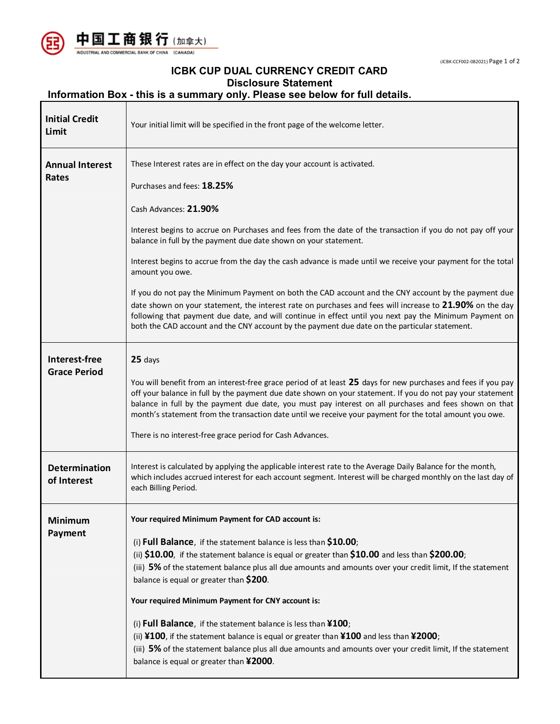



## **ICBK CUP DUAL CURRENCY CREDIT CARD Disclosure Statement**

## **Information Box - this is a summary only. Please see below for full details.**

| <b>Initial Credit</b><br>Limit       | Your initial limit will be specified in the front page of the welcome letter.                                                                                                                                                                                                                                                                                                                                                                                                                                                                                                                                                                                                                                                                                                                                                                                                       |  |  |
|--------------------------------------|-------------------------------------------------------------------------------------------------------------------------------------------------------------------------------------------------------------------------------------------------------------------------------------------------------------------------------------------------------------------------------------------------------------------------------------------------------------------------------------------------------------------------------------------------------------------------------------------------------------------------------------------------------------------------------------------------------------------------------------------------------------------------------------------------------------------------------------------------------------------------------------|--|--|
| <b>Annual Interest</b><br>Rates      | These Interest rates are in effect on the day your account is activated.<br>Purchases and fees: 18.25%<br>Cash Advances: 21.90%<br>Interest begins to accrue on Purchases and fees from the date of the transaction if you do not pay off your<br>balance in full by the payment due date shown on your statement.<br>Interest begins to accrue from the day the cash advance is made until we receive your payment for the total<br>amount you owe.<br>If you do not pay the Minimum Payment on both the CAD account and the CNY account by the payment due<br>date shown on your statement, the interest rate on purchases and fees will increase to 21.90% on the day<br>following that payment due date, and will continue in effect until you next pay the Minimum Payment on<br>both the CAD account and the CNY account by the payment due date on the particular statement. |  |  |
| Interest-free<br><b>Grace Period</b> | 25 days<br>You will benefit from an interest-free grace period of at least 25 days for new purchases and fees if you pay<br>off your balance in full by the payment due date shown on your statement. If you do not pay your statement<br>balance in full by the payment due date, you must pay interest on all purchases and fees shown on that<br>month's statement from the transaction date until we receive your payment for the total amount you owe.<br>There is no interest-free grace period for Cash Advances.                                                                                                                                                                                                                                                                                                                                                            |  |  |
| <b>Determination</b><br>of Interest  | Interest is calculated by applying the applicable interest rate to the Average Daily Balance for the month,<br>which includes accrued interest for each account segment. Interest will be charged monthly on the last day of<br>each Billing Period.                                                                                                                                                                                                                                                                                                                                                                                                                                                                                                                                                                                                                                |  |  |
| <b>Minimum</b><br>Payment            | Your required Minimum Payment for CAD account is:<br>(i) Full Balance, if the statement balance is less than $$10.00$ ;<br>(ii) \$10.00, if the statement balance is equal or greater than \$10.00 and less than \$200.00;<br>(iii) 5% of the statement balance plus all due amounts and amounts over your credit limit, If the statement<br>balance is equal or greater than \$200.<br>Your required Minimum Payment for CNY account is:<br>(i) Full Balance, if the statement balance is less than $\text{\tt Y100}$ ;<br>(ii) ¥100, if the statement balance is equal or greater than ¥100 and less than ¥2000;<br>(iii) 5% of the statement balance plus all due amounts and amounts over your credit limit, If the statement<br>balance is equal or greater than ¥2000.                                                                                                        |  |  |